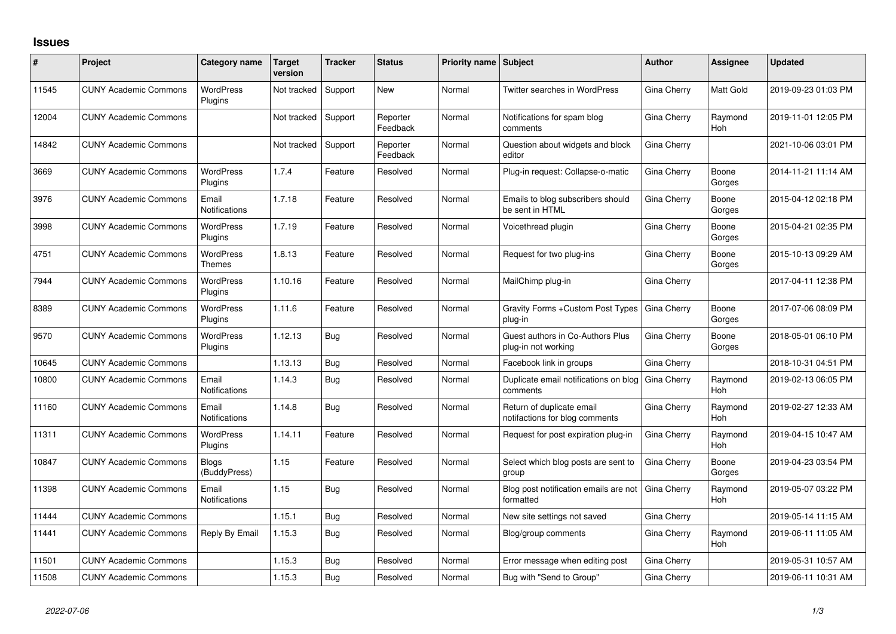## **Issues**

| #     | Project                      | Category name                | <b>Target</b><br>version | <b>Tracker</b> | <b>Status</b>        | Priority name Subject |                                                             | <b>Author</b>      | Assignee        | <b>Updated</b>      |
|-------|------------------------------|------------------------------|--------------------------|----------------|----------------------|-----------------------|-------------------------------------------------------------|--------------------|-----------------|---------------------|
| 11545 | <b>CUNY Academic Commons</b> | <b>WordPress</b><br>Plugins  | Not tracked              | Support        | New                  | Normal                | Twitter searches in WordPress                               | Gina Cherry        | Matt Gold       | 2019-09-23 01:03 PM |
| 12004 | <b>CUNY Academic Commons</b> |                              | Not tracked              | Support        | Reporter<br>Feedback | Normal                | Notifications for spam blog<br>comments                     | Gina Cherry        | Raymond<br>Hoh  | 2019-11-01 12:05 PM |
| 14842 | <b>CUNY Academic Commons</b> |                              | Not tracked              | Support        | Reporter<br>Feedback | Normal                | Question about widgets and block<br>editor                  | Gina Cherry        |                 | 2021-10-06 03:01 PM |
| 3669  | <b>CUNY Academic Commons</b> | <b>WordPress</b><br>Plugins  | 1.7.4                    | Feature        | Resolved             | Normal                | Plug-in request: Collapse-o-matic                           | Gina Cherry        | Boone<br>Gorges | 2014-11-21 11:14 AM |
| 3976  | <b>CUNY Academic Commons</b> | Email<br>Notifications       | 1.7.18                   | Feature        | Resolved             | Normal                | Emails to blog subscribers should<br>be sent in HTML        | Gina Cherry        | Boone<br>Gorges | 2015-04-12 02:18 PM |
| 3998  | <b>CUNY Academic Commons</b> | <b>WordPress</b><br>Plugins  | 1.7.19                   | Feature        | Resolved             | Normal                | Voicethread plugin                                          | Gina Cherry        | Boone<br>Gorges | 2015-04-21 02:35 PM |
| 4751  | <b>CUNY Academic Commons</b> | <b>WordPress</b><br>Themes   | 1.8.13                   | Feature        | Resolved             | Normal                | Request for two plug-ins                                    | Gina Cherry        | Boone<br>Gorges | 2015-10-13 09:29 AM |
| 7944  | <b>CUNY Academic Commons</b> | <b>WordPress</b><br>Plugins  | 1.10.16                  | Feature        | Resolved             | Normal                | MailChimp plug-in                                           | Gina Cherry        |                 | 2017-04-11 12:38 PM |
| 8389  | <b>CUNY Academic Commons</b> | <b>WordPress</b><br>Plugins  | 1.11.6                   | Feature        | Resolved             | Normal                | Gravity Forms + Custom Post Types<br>plug-in                | Gina Cherry        | Boone<br>Gorges | 2017-07-06 08:09 PM |
| 9570  | <b>CUNY Academic Commons</b> | <b>WordPress</b><br>Plugins  | 1.12.13                  | Bug            | Resolved             | Normal                | Guest authors in Co-Authors Plus<br>plug-in not working     | Gina Cherry        | Boone<br>Gorges | 2018-05-01 06:10 PM |
| 10645 | <b>CUNY Academic Commons</b> |                              | 1.13.13                  | Bug            | Resolved             | Normal                | Facebook link in groups                                     | Gina Cherry        |                 | 2018-10-31 04:51 PM |
| 10800 | <b>CUNY Academic Commons</b> | Email<br>Notifications       | 1.14.3                   | Bug            | Resolved             | Normal                | Duplicate email notifications on blog<br>comments           | Gina Cherry        | Raymond<br>Hoh  | 2019-02-13 06:05 PM |
| 11160 | <b>CUNY Academic Commons</b> | Email<br>Notifications       | 1.14.8                   | Bug            | Resolved             | Normal                | Return of duplicate email<br>notifactions for blog comments | Gina Cherry        | Raymond<br>Hoh  | 2019-02-27 12:33 AM |
| 11311 | <b>CUNY Academic Commons</b> | <b>WordPress</b><br>Plugins  | 1.14.11                  | Feature        | Resolved             | Normal                | Request for post expiration plug-in                         | Gina Cherry        | Raymond<br>Hoh  | 2019-04-15 10:47 AM |
| 10847 | <b>CUNY Academic Commons</b> | <b>Blogs</b><br>(BuddyPress) | 1.15                     | Feature        | Resolved             | Normal                | Select which blog posts are sent to<br>group                | Gina Cherry        | Boone<br>Gorges | 2019-04-23 03:54 PM |
| 11398 | <b>CUNY Academic Commons</b> | Email<br>Notifications       | 1.15                     | Bug            | Resolved             | Normal                | Blog post notification emails are not<br>formatted          | <b>Gina Cherry</b> | Raymond<br>Hoh  | 2019-05-07 03:22 PM |
| 11444 | <b>CUNY Academic Commons</b> |                              | 1.15.1                   | Bug            | Resolved             | Normal                | New site settings not saved                                 | Gina Cherry        |                 | 2019-05-14 11:15 AM |
| 11441 | <b>CUNY Academic Commons</b> | Reply By Email               | 1.15.3                   | Bug            | Resolved             | Normal                | Blog/group comments                                         | Gina Cherry        | Raymond<br>Hoh  | 2019-06-11 11:05 AM |
| 11501 | <b>CUNY Academic Commons</b> |                              | 1.15.3                   | Bug            | Resolved             | Normal                | Error message when editing post                             | Gina Cherry        |                 | 2019-05-31 10:57 AM |
| 11508 | <b>CUNY Academic Commons</b> |                              | 1.15.3                   | Bug            | Resolved             | Normal                | Bug with "Send to Group"                                    | Gina Cherry        |                 | 2019-06-11 10:31 AM |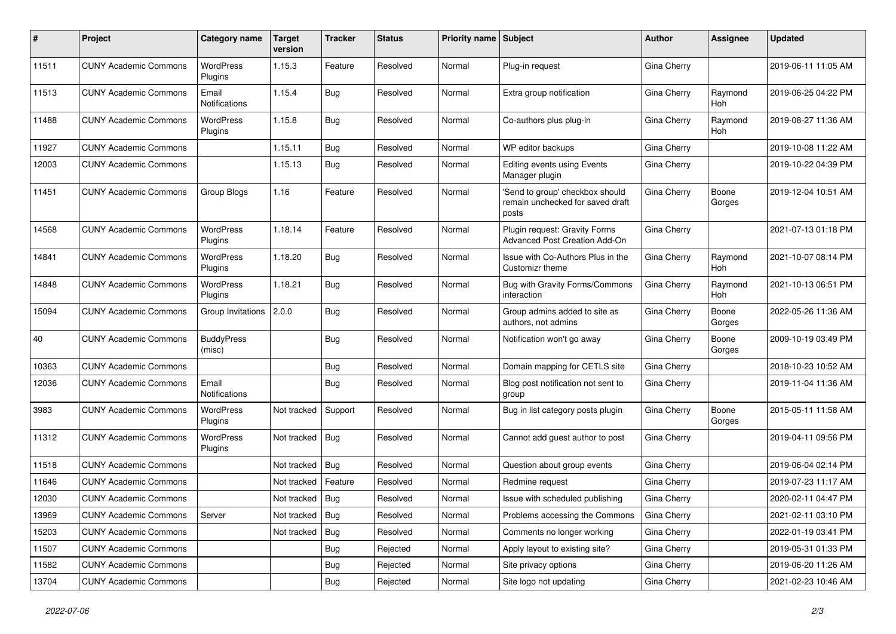| #     | Project                      | Category name               | <b>Target</b><br>version | <b>Tracker</b> | <b>Status</b> | <b>Priority name   Subject</b> |                                                                              | Author      | Assignee              | Updated             |
|-------|------------------------------|-----------------------------|--------------------------|----------------|---------------|--------------------------------|------------------------------------------------------------------------------|-------------|-----------------------|---------------------|
| 11511 | <b>CUNY Academic Commons</b> | <b>WordPress</b><br>Plugins | 1.15.3                   | Feature        | Resolved      | Normal                         | Plug-in request                                                              | Gina Cherry |                       | 2019-06-11 11:05 AM |
| 11513 | <b>CUNY Academic Commons</b> | Email<br>Notifications      | 1.15.4                   | Bug            | Resolved      | Normal                         | Extra group notification                                                     | Gina Cherry | Raymond<br><b>Hoh</b> | 2019-06-25 04:22 PM |
| 11488 | <b>CUNY Academic Commons</b> | <b>WordPress</b><br>Plugins | 1.15.8                   | Bug            | Resolved      | Normal                         | Co-authors plus plug-in                                                      | Gina Cherry | Raymond<br>Hoh        | 2019-08-27 11:36 AM |
| 11927 | <b>CUNY Academic Commons</b> |                             | 1.15.11                  | Bug            | Resolved      | Normal                         | WP editor backups                                                            | Gina Cherry |                       | 2019-10-08 11:22 AM |
| 12003 | <b>CUNY Academic Commons</b> |                             | 1.15.13                  | Bug            | Resolved      | Normal                         | <b>Editing events using Events</b><br>Manager plugin                         | Gina Cherry |                       | 2019-10-22 04:39 PM |
| 11451 | <b>CUNY Academic Commons</b> | Group Blogs                 | 1.16                     | Feature        | Resolved      | Normal                         | 'Send to group' checkbox should<br>remain unchecked for saved draft<br>posts | Gina Cherry | Boone<br>Gorges       | 2019-12-04 10:51 AM |
| 14568 | <b>CUNY Academic Commons</b> | <b>WordPress</b><br>Plugins | 1.18.14                  | Feature        | Resolved      | Normal                         | Plugin request: Gravity Forms<br>Advanced Post Creation Add-On               | Gina Cherry |                       | 2021-07-13 01:18 PM |
| 14841 | <b>CUNY Academic Commons</b> | <b>WordPress</b><br>Plugins | 1.18.20                  | <b>Bug</b>     | Resolved      | Normal                         | Issue with Co-Authors Plus in the<br>Customizr theme                         | Gina Cherry | Raymond<br>Hoh        | 2021-10-07 08:14 PM |
| 14848 | <b>CUNY Academic Commons</b> | <b>WordPress</b><br>Plugins | 1.18.21                  | Bug            | Resolved      | Normal                         | Bug with Gravity Forms/Commons<br>interaction                                | Gina Cherry | Raymond<br>Hoh        | 2021-10-13 06:51 PM |
| 15094 | <b>CUNY Academic Commons</b> | Group Invitations           | 2.0.0                    | <b>Bug</b>     | Resolved      | Normal                         | Group admins added to site as<br>authors, not admins                         | Gina Cherry | Boone<br>Gorges       | 2022-05-26 11:36 AM |
| 40    | <b>CUNY Academic Commons</b> | <b>BuddyPress</b><br>(misc) |                          | <b>Bug</b>     | Resolved      | Normal                         | Notification won't go away                                                   | Gina Cherry | Boone<br>Gorges       | 2009-10-19 03:49 PM |
| 10363 | <b>CUNY Academic Commons</b> |                             |                          | <b>Bug</b>     | Resolved      | Normal                         | Domain mapping for CETLS site                                                | Gina Cherry |                       | 2018-10-23 10:52 AM |
| 12036 | <b>CUNY Academic Commons</b> | Email<br>Notifications      |                          | Bug            | Resolved      | Normal                         | Blog post notification not sent to<br>group                                  | Gina Cherry |                       | 2019-11-04 11:36 AM |
| 3983  | <b>CUNY Academic Commons</b> | <b>WordPress</b><br>Plugins | Not tracked              | Support        | Resolved      | Normal                         | Bug in list category posts plugin                                            | Gina Cherry | Boone<br>Gorges       | 2015-05-11 11:58 AM |
| 11312 | <b>CUNY Academic Commons</b> | <b>WordPress</b><br>Plugins | Not tracked              | Bug            | Resolved      | Normal                         | Cannot add guest author to post                                              | Gina Cherry |                       | 2019-04-11 09:56 PM |
| 11518 | <b>CUNY Academic Commons</b> |                             | Not tracked              | Bug            | Resolved      | Normal                         | Question about group events                                                  | Gina Cherry |                       | 2019-06-04 02:14 PM |
| 11646 | <b>CUNY Academic Commons</b> |                             | Not tracked              | Feature        | Resolved      | Normal                         | Redmine request                                                              | Gina Cherry |                       | 2019-07-23 11:17 AM |
| 12030 | <b>CUNY Academic Commons</b> |                             | Not tracked              | <b>Bug</b>     | Resolved      | Normal                         | Issue with scheduled publishing                                              | Gina Cherry |                       | 2020-02-11 04:47 PM |
| 13969 | <b>CUNY Academic Commons</b> | Server                      | Not tracked   Bug        |                | Resolved      | Normal                         | Problems accessing the Commons                                               | Gina Cherry |                       | 2021-02-11 03:10 PM |
| 15203 | <b>CUNY Academic Commons</b> |                             | Not tracked              | Bug            | Resolved      | Normal                         | Comments no longer working                                                   | Gina Cherry |                       | 2022-01-19 03:41 PM |
| 11507 | <b>CUNY Academic Commons</b> |                             |                          | <b>Bug</b>     | Rejected      | Normal                         | Apply layout to existing site?                                               | Gina Cherry |                       | 2019-05-31 01:33 PM |
| 11582 | <b>CUNY Academic Commons</b> |                             |                          | <b>Bug</b>     | Rejected      | Normal                         | Site privacy options                                                         | Gina Cherry |                       | 2019-06-20 11:26 AM |
| 13704 | <b>CUNY Academic Commons</b> |                             |                          | <b>Bug</b>     | Rejected      | Normal                         | Site logo not updating                                                       | Gina Cherry |                       | 2021-02-23 10:46 AM |